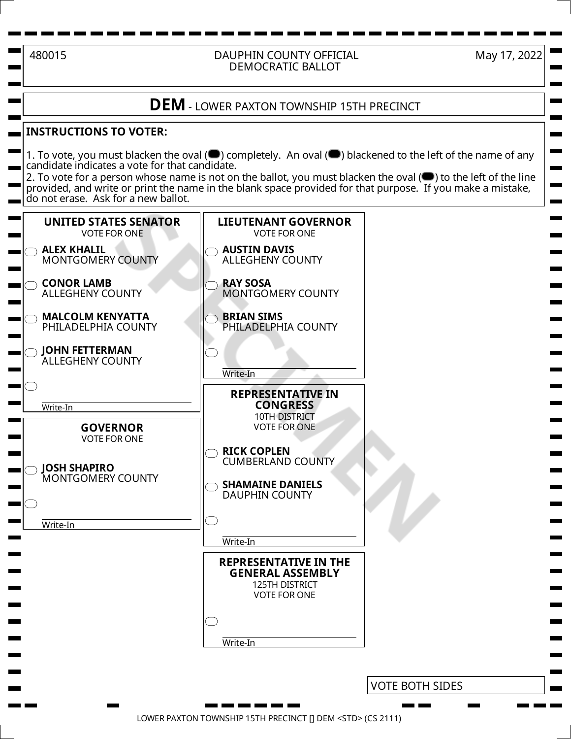## 480015 DAUPHIN COUNTY OFFICIAL DEMOCRATIC BALLOT

May 17, 2022

## **DEM** - LOWER PAXTON TOWNSHIP 15TH PRECINCT

## **INSTRUCTIONS TO VOTER:**

1. To vote, you must blacken the oval ( $\blacksquare$ ) completely. An oval ( $\blacksquare$ ) blackened to the left of the name of any candidate indicates a vote for that candidate.

2. To vote for a person whose name is not on the ballot, you must blacken the oval ( $\blacksquare$ ) to the left of the line provided, and write or print the name in the blank space provided for that purpose. If you make a mistake, do not erase. Ask for a new ballot.



VOTE BOTH SIDES